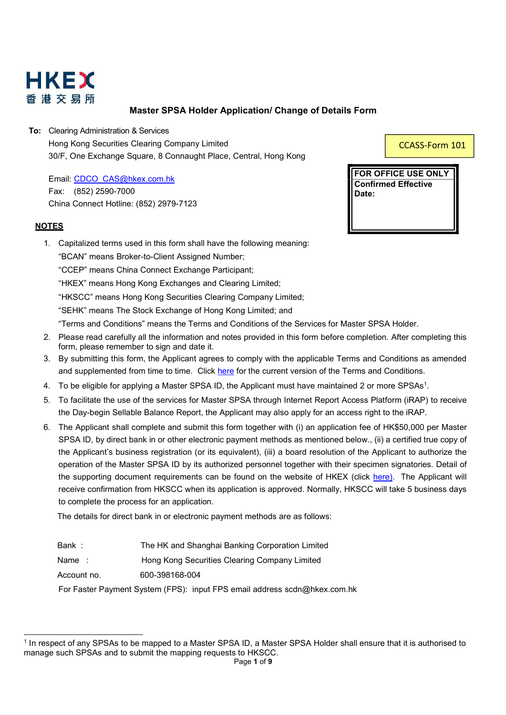

## Master SPSA Holder Application/ Change of Details Form

To: Clearing Administration & Services Hong Kong Securities Clearing Company Limited 30/F, One Exchange Square, 8 Connaught Place, Central, Hong Kong

Email: CDCO\_CAS@hkex.com.hk Fax: (852) 2590-7000 China Connect Hotline: (852) 2979-7123

### **NOTES**

1. Capitalized terms used in this form shall have the following meaning:

"BCAN" means Broker-to-Client Assigned Number;

"CCEP" means China Connect Exchange Participant;

"HKEX" means Hong Kong Exchanges and Clearing Limited;

"HKSCC" means Hong Kong Securities Clearing Company Limited;

"SEHK" means The Stock Exchange of Hong Kong Limited; and

"Terms and Conditions" means the Terms and Conditions of the Services for Master SPSA Holder.

- 2. Please read carefully all the information and notes provided in this form before completion. After completing this form, please remember to sign and date it.
- 3. By submitting this form, the Applicant agrees to comply with the applicable Terms and Conditions as amended and supplemented from time to time. Click here for the current version of the Terms and Conditions.
- 4. To be eligible for applying a Master SPSA ID, the Applicant must have maintained 2 or more SPSAs<sup>1</sup>.
- 5. To facilitate the use of the services for Master SPSA through Internet Report Access Platform (iRAP) to receive the Day-begin Sellable Balance Report, the Applicant may also apply for an access right to the iRAP.
- 6. The Applicant shall complete and submit this form together with (i) an application fee of HK\$50,000 per Master SPSA ID, by direct bank in or other electronic payment methods as mentioned below., (ii) a certified true copy of the Applicant's business registration (or its equivalent), (iii) a board resolution of the Applicant to authorize the operation of the Master SPSA ID by its authorized personnel together with their specimen signatories. Detail of the supporting document requirements can be found on the website of HKEX (click here). The Applicant will receive confirmation from HKSCC when its application is approved. Normally, HKSCC will take 5 business days to complete the process for an application.

The details for direct bank in or electronic payment methods are as follows:

| Bank: | The HK and Shanghai Banking Corporation Limited |
|-------|-------------------------------------------------|
|-------|-------------------------------------------------|

Name : Hong Kong Securities Clearing Company Limited

Account no. 600-398168-004

For Faster Payment System (FPS): input FPS email address scdn@hkex.com.hk

CCASS-Form 101

FOR OFFICE USE ONLY Confirmed Effective Date:

<sup>1</sup> In respect of any SPSAs to be mapped to a Master SPSA ID, a Master SPSA Holder shall ensure that it is authorised to manage such SPSAs and to submit the mapping requests to HKSCC.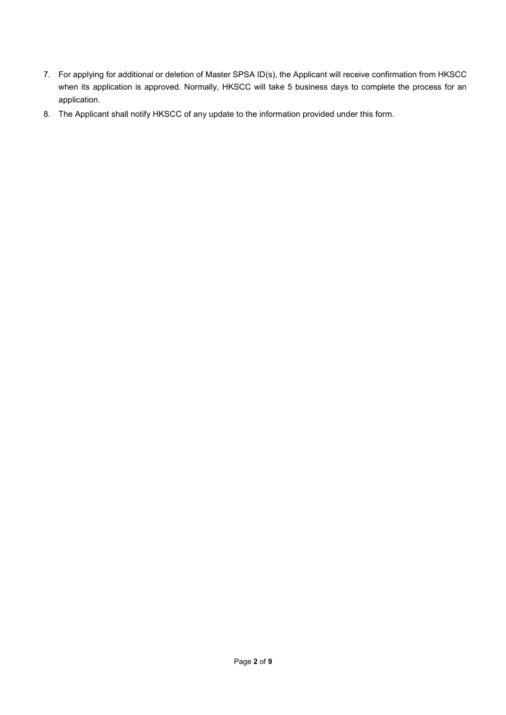- 7. For applying for additional or deletion of Master SPSA ID(s), the Applicant will receive confirmation from HKSCC when its application is approved. Normally, HKSCC will take 5 business days to complete the process for an application.
- 8. The Applicant shall notify HKSCC of any update to the information provided under this form.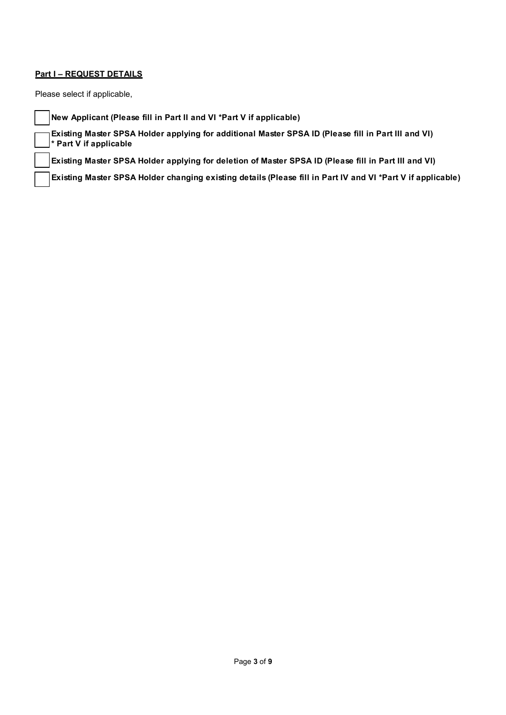### **Part I – REQUEST DETAILS**

Please select if applicable,

New Applicant (Please fill in Part II and VI \*Part V if applicable)

Existing Master SPSA Holder applying for additional Master SPSA ID (Please fill in Part III and VI) \* Part V if applicable

Existing Master SPSA Holder applying for deletion of Master SPSA ID (Please fill in Part III and VI)

Existing Master SPSA Holder changing existing details (Please fill in Part IV and VI \*Part V if applicable)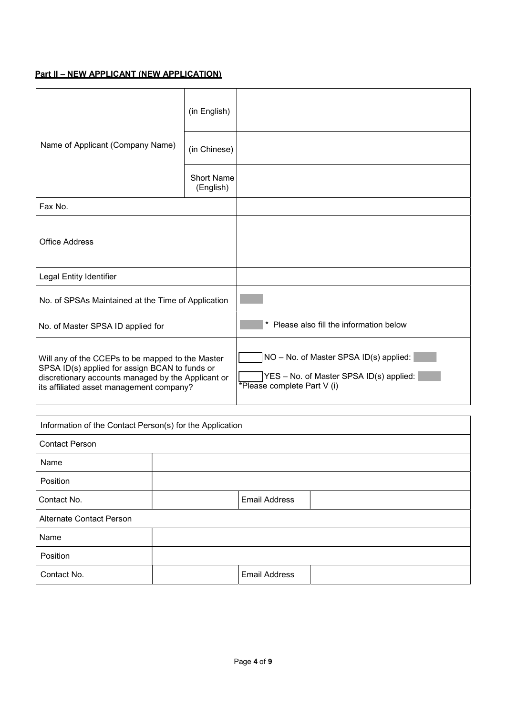# Part II – NEW APPLICANT (NEW APPLICATION)

|                                                                                                                                                                                                      | (in English)                   |                                                                                                                  |
|------------------------------------------------------------------------------------------------------------------------------------------------------------------------------------------------------|--------------------------------|------------------------------------------------------------------------------------------------------------------|
| Name of Applicant (Company Name)                                                                                                                                                                     | (in Chinese)                   |                                                                                                                  |
|                                                                                                                                                                                                      | <b>Short Name</b><br>(English) |                                                                                                                  |
| Fax No.                                                                                                                                                                                              |                                |                                                                                                                  |
| Office Address                                                                                                                                                                                       |                                |                                                                                                                  |
| Legal Entity Identifier                                                                                                                                                                              |                                |                                                                                                                  |
| No. of SPSAs Maintained at the Time of Application                                                                                                                                                   |                                |                                                                                                                  |
| No. of Master SPSA ID applied for                                                                                                                                                                    |                                | Please also fill the information below                                                                           |
| Will any of the CCEPs to be mapped to the Master<br>SPSA ID(s) applied for assign BCAN to funds or<br>discretionary accounts managed by the Applicant or<br>its affiliated asset management company? |                                | NO - No. of Master SPSA ID(s) applied:<br>YES - No. of Master SPSA ID(s) applied:<br>*Please complete Part V (i) |

| Information of the Contact Person(s) for the Application |                      |  |  |  |  |
|----------------------------------------------------------|----------------------|--|--|--|--|
| <b>Contact Person</b>                                    |                      |  |  |  |  |
| Name                                                     |                      |  |  |  |  |
| Position                                                 |                      |  |  |  |  |
| Contact No.                                              | <b>Email Address</b> |  |  |  |  |
| <b>Alternate Contact Person</b>                          |                      |  |  |  |  |
| Name                                                     |                      |  |  |  |  |
| Position                                                 |                      |  |  |  |  |
| Contact No.                                              | <b>Email Address</b> |  |  |  |  |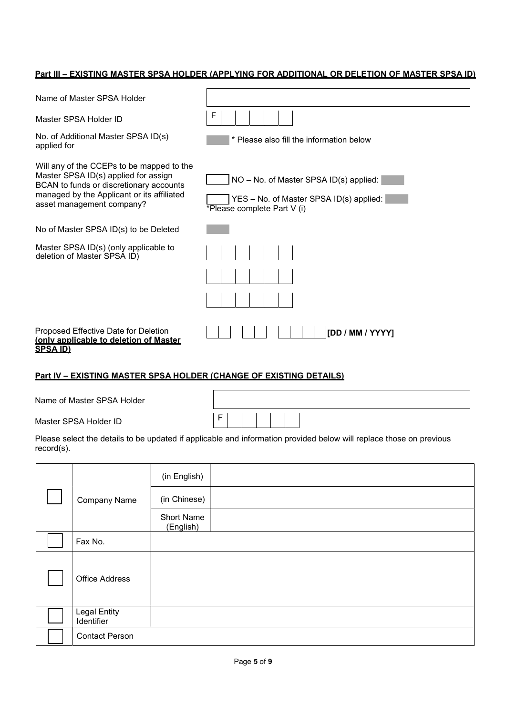### Part III – EXISTING MASTER SPSA HOLDER (APPLYING FOR ADDITIONAL OR DELETION OF MASTER SPSA ID)

| Name of Master SPSA Holder                                                                                                                                                                              |                                                                                                                  |
|---------------------------------------------------------------------------------------------------------------------------------------------------------------------------------------------------------|------------------------------------------------------------------------------------------------------------------|
| Master SPSA Holder ID                                                                                                                                                                                   | F                                                                                                                |
| No. of Additional Master SPSA ID(s)<br>applied for                                                                                                                                                      | * Please also fill the information below                                                                         |
| Will any of the CCEPs to be mapped to the<br>Master SPSA ID(s) applied for assign<br>BCAN to funds or discretionary accounts<br>managed by the Applicant or its affiliated<br>asset management company? | NO - No. of Master SPSA ID(s) applied:<br>YES - No. of Master SPSA ID(s) applied:<br>*Please complete Part V (i) |
| No of Master SPSA ID(s) to be Deleted                                                                                                                                                                   |                                                                                                                  |
| Master SPSA ID(s) (only applicable to<br>deletion of Master SPSA ID)                                                                                                                                    |                                                                                                                  |
| Proposed Effective Date for Deletion<br>(only applicable to deletion of Master<br><b>SPSA ID)</b>                                                                                                       | [DD / MM / YYYY]                                                                                                 |

## Part IV – EXISTING MASTER SPSA HOLDER (CHANGE OF EXISTING DETAILS)

Master SPSA Holder ID **F** 

| Please select the details to be updated if applicable and information provided below will replace those on previous |  |
|---------------------------------------------------------------------------------------------------------------------|--|
| record(s).                                                                                                          |  |

|                            | (in English)                   |  |
|----------------------------|--------------------------------|--|
| Company Name               | (in Chinese)                   |  |
|                            | <b>Short Name</b><br>(English) |  |
| Fax No.                    |                                |  |
| <b>Office Address</b>      |                                |  |
| Legal Entity<br>Identifier |                                |  |
| <b>Contact Person</b>      |                                |  |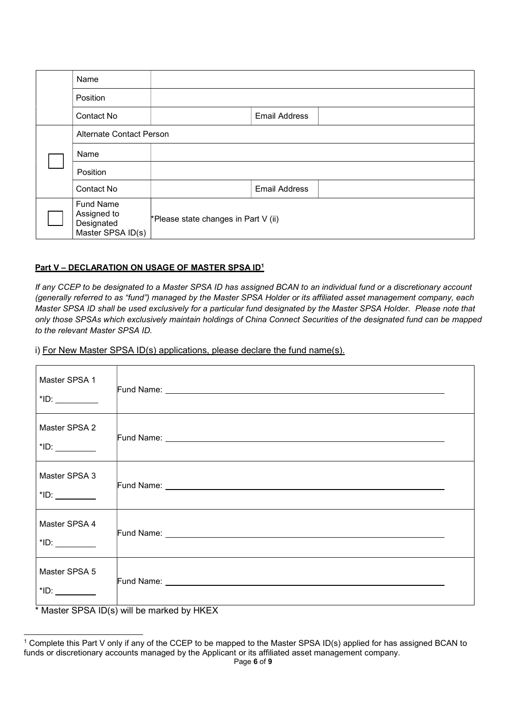| Name                                                               |                                      |                      |  |
|--------------------------------------------------------------------|--------------------------------------|----------------------|--|
| Position                                                           |                                      |                      |  |
| Contact No                                                         |                                      | <b>Email Address</b> |  |
| <b>Alternate Contact Person</b>                                    |                                      |                      |  |
| Name                                                               |                                      |                      |  |
| Position                                                           |                                      |                      |  |
| Contact No                                                         |                                      | <b>Email Address</b> |  |
| <b>Fund Name</b><br>Assigned to<br>Designated<br>Master SPSA ID(s) | *Please state changes in Part V (ii) |                      |  |

### Part V - DECLARATION ON USAGE OF MASTER SPSA ID<sup>1</sup>

If any CCEP to be designated to a Master SPSA ID has assigned BCAN to an individual fund or a discretionary account (generally referred to as "fund") managed by the Master SPSA Holder or its affiliated asset management company, each Master SPSA ID shall be used exclusively for a particular fund designated by the Master SPSA Holder. Please note that only those SPSAs which exclusively maintain holdings of China Connect Securities of the designated fund can be mapped to the relevant Master SPSA ID.

i) For New Master SPSA ID(s) applications, please declare the fund name(s).

| Master SPSA 1 |                                                       |
|---------------|-------------------------------------------------------|
| Master SPSA 2 |                                                       |
| Master SPSA 3 |                                                       |
| Master SPSA 4 |                                                       |
| Master SPSA 5 | $*$ Mootor CDCA $ID(s)$ will be marked by $H\Gamma V$ |

Master SPSA  $ID(s)$  will be marked by HKEX

<sup>1</sup> Complete this Part V only if any of the CCEP to be mapped to the Master SPSA ID(s) applied for has assigned BCAN to funds or discretionary accounts managed by the Applicant or its affiliated asset management company.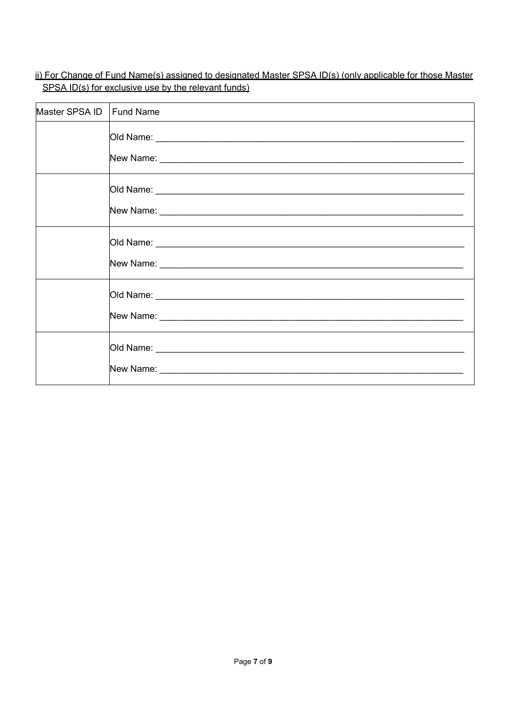ii) For Change of Fund Name(s) assigned to designated Master SPSA ID(s) (only applicable for those Master SPSA ID(s) for exclusive use by the relevant funds)

| Master SPSA ID | Fund Name                                                                                                                                                                                                                            |
|----------------|--------------------------------------------------------------------------------------------------------------------------------------------------------------------------------------------------------------------------------------|
|                |                                                                                                                                                                                                                                      |
|                |                                                                                                                                                                                                                                      |
|                |                                                                                                                                                                                                                                      |
|                | New Name: <u>with the contract of the contract of the contract of the contract of the contract of the contract of the contract of the contract of the contract of the contract of the contract of the contract of the contract o</u> |
|                |                                                                                                                                                                                                                                      |
|                | New Name: <u>with the community of the community of the community of the community of the community of the community of the community of the community of the community of the community of the community of the community of th</u> |
|                |                                                                                                                                                                                                                                      |
|                |                                                                                                                                                                                                                                      |
|                |                                                                                                                                                                                                                                      |
|                |                                                                                                                                                                                                                                      |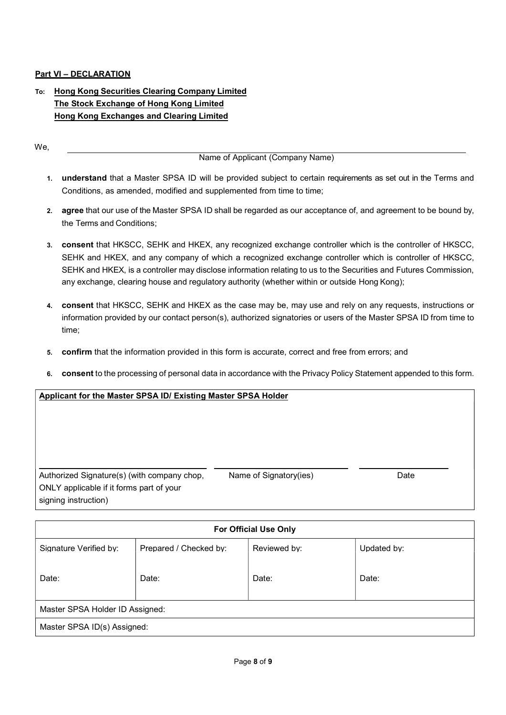### Part VI – DECLARATION

## To: Hong Kong Securities Clearing Company Limited The Stock Exchange of Hong Kong Limited Hong Kong Exchanges and Clearing Limited

We,

Name of Applicant (Company Name)

- 1. understand that a Master SPSA ID will be provided subject to certain requirements as set out in the Terms and Conditions, as amended, modified and supplemented from time to time;
- 2. agree that our use of the Master SPSA ID shall be regarded as our acceptance of, and agreement to be bound by, the Terms and Conditions;
- 3. consent that HKSCC, SEHK and HKEX, any recognized exchange controller which is the controller of HKSCC, SEHK and HKEX, and any company of which a recognized exchange controller which is controller of HKSCC, SEHK and HKEX, is a controller may disclose information relating to us to the Securities and Futures Commission, any exchange, clearing house and regulatory authority (whether within or outside Hong Kong);
- 4. consent that HKSCC, SEHK and HKEX as the case may be, may use and rely on any requests, instructions or information provided by our contact person(s), authorized signatories or users of the Master SPSA ID from time to time;
- 5. confirm that the information provided in this form is accurate, correct and free from errors; and
- 6. consent to the processing of personal data in accordance with the Privacy Policy Statement appended to this form.

### Applicant for the Master SPSA ID/ Existing Master SPSA Holder

| Authorized Signature(s) (with company chop, |  |
|---------------------------------------------|--|
| ONLY applicable if it forms part of your    |  |
| signing instruction)                        |  |

lame of Signatory(ies) and the Date

| <b>For Official Use Only</b>    |                        |              |             |  |
|---------------------------------|------------------------|--------------|-------------|--|
| Signature Verified by:          | Prepared / Checked by: | Reviewed by: | Updated by: |  |
| Date:                           | Date:                  | Date:        | Date:       |  |
| Master SPSA Holder ID Assigned: |                        |              |             |  |
| Master SPSA ID(s) Assigned:     |                        |              |             |  |